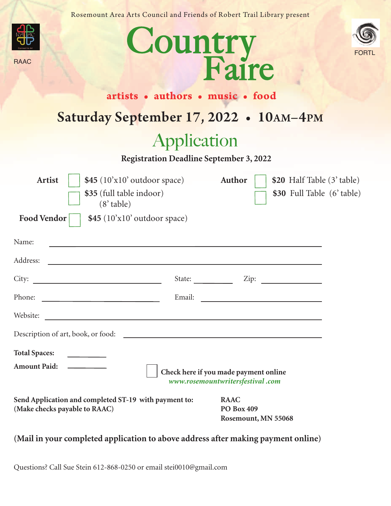Rosemount Area Arts Council and Friends of Robert Trail Library present





RAAC



Country Faire

## Saturday September 17, 2022 • 10AM-4PM

# Application

**Registration Deadline September 3, 2022**

| $$45 (10'x10'$ outdoor space)<br><b>Artist</b><br>\$35 (full table indoor)<br>$(8'$ table)<br><b>Food Vendor</b><br>\$45 (10'x10' outdoor space) |        | Author                                                                    | \$20 Half Table (3' table)<br>\$30 Full Table (6' table) |  |
|--------------------------------------------------------------------------------------------------------------------------------------------------|--------|---------------------------------------------------------------------------|----------------------------------------------------------|--|
|                                                                                                                                                  |        |                                                                           |                                                          |  |
| Name:<br><u> 1989 - Andrea Aonaichte, ann an t-Èireann an t-Èireann an t-Èireann an t-Èireann an t-Èireann an t-Èireann an</u>                   |        |                                                                           |                                                          |  |
| Address:                                                                                                                                         |        |                                                                           |                                                          |  |
|                                                                                                                                                  | State: |                                                                           |                                                          |  |
| <u> 1990 - Johann Barbara, martin a</u><br>Phone:                                                                                                | Email: |                                                                           |                                                          |  |
| Website:<br><u> 1989 - Johann Harry Harry Harry Harry Harry Harry Harry Harry Harry Harry Harry Harry Harry Harry Harry Harry</u>                |        |                                                                           |                                                          |  |
|                                                                                                                                                  |        |                                                                           |                                                          |  |
| <b>Total Spaces:</b><br><b>Amount Paid:</b>                                                                                                      |        | Check here if you made payment online<br>www.rosemountwritersfestival.com |                                                          |  |
| Send Application and completed ST-19 with payment to:<br>(Make checks payable to RAAC)                                                           |        | <b>RAAC</b><br><b>PO Box 409</b><br>Rosemount, MN 55068                   |                                                          |  |

### **(Mail in your completed application to above address after making payment online)**

Questions? Call Sue Stein 612-868-0250 or email stei0010@gmail.com